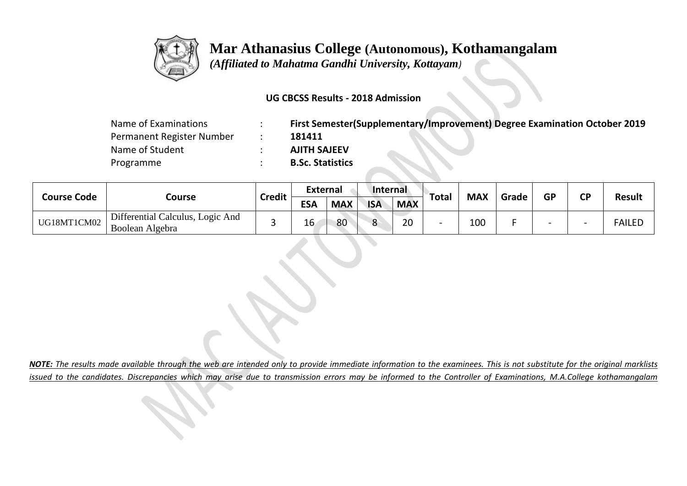

 *(Affiliated to Mahatma Gandhi University, Kottayam)*

### **UG CBCSS Results - 2018 Admission**

| Name of Examinations      | First Semester(Supplementary/Improvement) Degree Examination October 2019 |
|---------------------------|---------------------------------------------------------------------------|
| Permanent Register Number | 181411                                                                    |
| Name of Student           | <b>AJITH SAJEEV</b>                                                       |
| Programme                 | <b>B.Sc. Statistics</b>                                                   |

| <b>Course Code</b> |                                                     |               | <b>External</b> |            | Internal   |            |       |            | Grade | <b>GP</b>                |                          | <b>Result</b> |
|--------------------|-----------------------------------------------------|---------------|-----------------|------------|------------|------------|-------|------------|-------|--------------------------|--------------------------|---------------|
|                    | Course                                              | <b>Credit</b> | <b>ESA</b>      | <b>MAX</b> | <b>ISA</b> | <b>MAX</b> | Total | <b>MAX</b> |       |                          | <b>CP</b>                |               |
| UG18MT1CM02        | Differential Calculus, Logic And<br>Boolean Algebra |               | 16              | 80         |            | 20         |       | 100        |       | $\overline{\phantom{0}}$ | $\overline{\phantom{0}}$ | <b>FAILED</b> |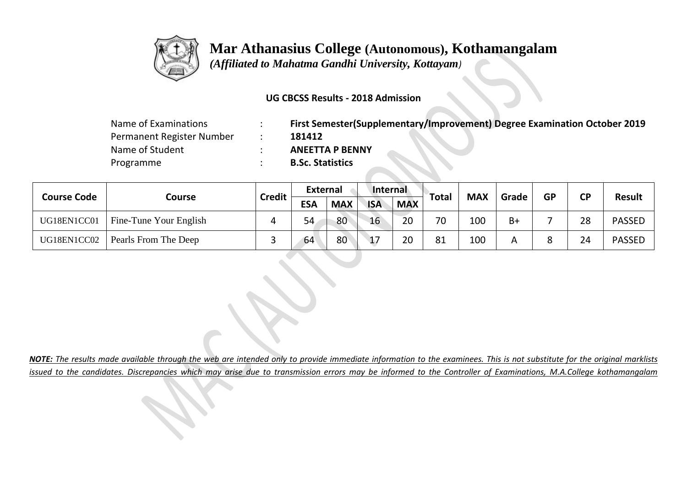

 *(Affiliated to Mahatma Gandhi University, Kottayam)*

## **UG CBCSS Results - 2018 Admission**

| Name of Examinations      | First Semester(Supplementary/Improvement) Degree Examination October 2019 |
|---------------------------|---------------------------------------------------------------------------|
| Permanent Register Number | 181412                                                                    |
| Name of Student           | <b>ANEETTA P BENNY</b>                                                    |
| Programme                 | <b>B.Sc. Statistics</b>                                                   |

| <b>Course Code</b> | Course                 | <b>Credit</b> | <b>External</b> |            | Internal     |            |       | <b>MAX</b> | Grade | <b>GP</b> |           | <b>Result</b> |
|--------------------|------------------------|---------------|-----------------|------------|--------------|------------|-------|------------|-------|-----------|-----------|---------------|
|                    |                        |               | <b>ESA</b>      | <b>MAX</b> | <b>ISA</b>   | <b>MAX</b> | Total |            |       |           | <b>CP</b> |               |
| UG18EN1CC01        | Fine-Tune Your English |               | 54              | 80         | 16           | 20         | 70    | 100        | B+    |           | 28        | <b>PASSED</b> |
| UG18EN1CC02        | Pearls From The Deep   |               | 64              | 80         | $\mathbf{1}$ | 20         | 81    | 100        | А     | 8         | 24        | <b>PASSED</b> |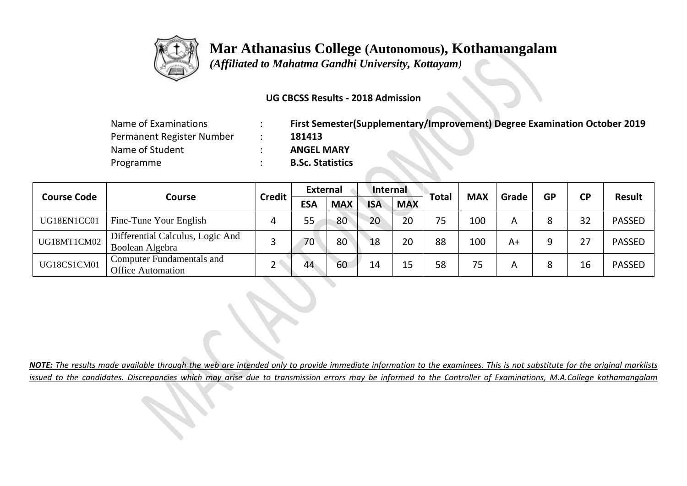

 *(Affiliated to Mahatma Gandhi University, Kottayam)*

## **UG CBCSS Results - 2018 Admission**

| Name of Examinations      | First Semester(Supplementary/Improvement) Degree Examination October 2019 |
|---------------------------|---------------------------------------------------------------------------|
| Permanent Register Number | 181413                                                                    |
| Name of Student           | <b>ANGEL MARY</b>                                                         |
| Programme                 | <b>B.Sc. Statistics</b>                                                   |

|                    |                                                              |               | <b>External</b> |            | Internal   |            |              | <b>MAX</b> | Grade | <b>GP</b> |           | Result        |  |
|--------------------|--------------------------------------------------------------|---------------|-----------------|------------|------------|------------|--------------|------------|-------|-----------|-----------|---------------|--|
| <b>Course Code</b> | Course                                                       | <b>Credit</b> | <b>ESA</b>      | <b>MAX</b> | <b>ISA</b> | <b>MAX</b> | <b>Total</b> |            |       |           | <b>CP</b> |               |  |
| UG18EN1CC01        | Fine-Tune Your English                                       |               | 55              | 80         | 20         | 20         |              | 100        | A     |           | 32        | <b>PASSED</b> |  |
| UG18MT1CM02        | Differential Calculus, Logic And<br>Boolean Algebra          |               | 70              | 80         | 18         | 20         | 88           | 100        | A+    |           | 27        | <b>PASSED</b> |  |
| UG18CS1CM01        | <b>Computer Fundamentals and</b><br><b>Office Automation</b> |               | 44              | 60         | 14         |            | 58           | 75         | A     |           | 16        | <b>PASSED</b> |  |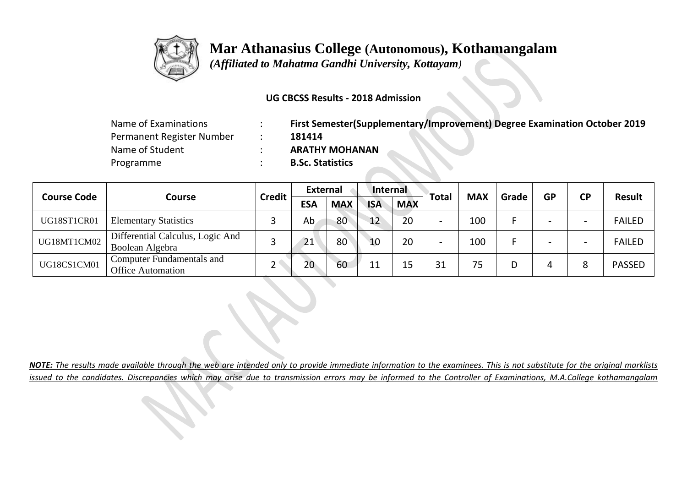

 *(Affiliated to Mahatma Gandhi University, Kottayam)*

## **UG CBCSS Results - 2018 Admission**

| Name of Examinations      | First Semester(Supplementary/Improvement) Degree Examination October 2019 |
|---------------------------|---------------------------------------------------------------------------|
| Permanent Register Number | 181414                                                                    |
| Name of Student           | <b>ARATHY MOHANAN</b>                                                     |
| Programme                 | <b>B.Sc. Statistics</b>                                                   |

|                    |                                                              |               | <b>External</b> |            | Internal   |            |              | <b>MAX</b> | Grade | <b>GP</b> |                          | <b>Result</b> |
|--------------------|--------------------------------------------------------------|---------------|-----------------|------------|------------|------------|--------------|------------|-------|-----------|--------------------------|---------------|
| <b>Course Code</b> | Course                                                       | <b>Credit</b> | <b>ESA</b>      | <b>MAX</b> | <b>ISA</b> | <b>MAX</b> | <b>Total</b> |            |       |           | <b>CP</b>                |               |
| UG18ST1CR01        | <b>Elementary Statistics</b>                                 |               | Ab              | 80         | 12         | 20         |              | 100        |       |           |                          | <b>FAILED</b> |
| UG18MT1CM02        | Differential Calculus, Logic And<br>Boolean Algebra          |               | 21              | 80         | 10         | 20         |              | 100        |       |           | $\overline{\phantom{0}}$ | <b>FAILED</b> |
| UG18CS1CM01        | <b>Computer Fundamentals and</b><br><b>Office Automation</b> |               | 20              | 60         |            |            | 31           | 75         |       | 4         | 8                        | <b>PASSED</b> |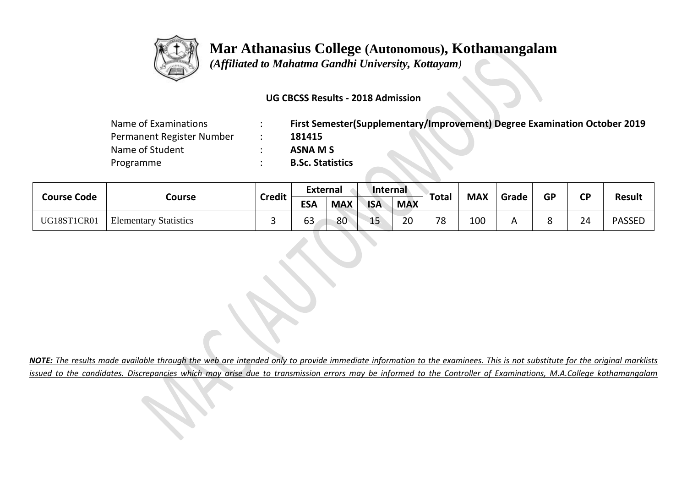

 *(Affiliated to Mahatma Gandhi University, Kottayam)*

### **UG CBCSS Results - 2018 Admission**

| Name of Examinations      | First Semester(Supplementary/Improvement) Degree Examination October 2019 |
|---------------------------|---------------------------------------------------------------------------|
| Permanent Register Number | 181415                                                                    |
| Name of Student           | ASNA M S                                                                  |
| Programme                 | <b>B.Sc. Statistics</b>                                                   |

|                    |                              | <b>Credit</b> | <b>External</b> |            | Internal   |            | <b>Total</b> | <b>MAX</b> | Grade | <b>GP</b> | <b>CP</b> | <b>Result</b> |
|--------------------|------------------------------|---------------|-----------------|------------|------------|------------|--------------|------------|-------|-----------|-----------|---------------|
| <b>Course Code</b> | Course                       |               | <b>ESA</b>      | <b>MAX</b> | <b>ISA</b> | <b>MAX</b> |              |            |       |           |           |               |
| UG18ST1CR01        | <b>Elementary Statistics</b> |               | $\sim$<br>63    | 80         | 15         | 20         | 78           | 100        |       | Ω<br>О    | 24        | <b>PASSED</b> |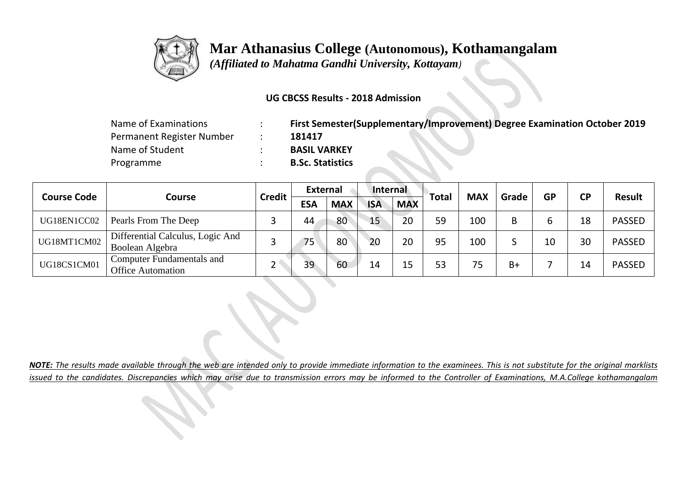

 *(Affiliated to Mahatma Gandhi University, Kottayam)*

### **UG CBCSS Results - 2018 Admission**

| Name of Examinations      | First Semester(Supplementary/Improvement) Degree Examination October 2019 |
|---------------------------|---------------------------------------------------------------------------|
| Permanent Register Number | 181417                                                                    |
| Name of Student           | <b>BASIL VARKEY</b>                                                       |
| Programme                 | <b>B.Sc. Statistics</b>                                                   |

|                    |                                                              |               | <b>External</b> |            | Internal   |            |              |            |       |           |           | <b>Result</b> |
|--------------------|--------------------------------------------------------------|---------------|-----------------|------------|------------|------------|--------------|------------|-------|-----------|-----------|---------------|
| <b>Course Code</b> | Course                                                       | <b>Credit</b> | <b>ESA</b>      | <b>MAX</b> | <b>ISA</b> | <b>MAX</b> | <b>Total</b> | <b>MAX</b> | Grade | <b>GP</b> | <b>CP</b> |               |
| UG18EN1CC02        | Pearls From The Deep                                         |               | 44              | 80         | 15         | 20         | 59           | 100        | B     |           | 18        | <b>PASSED</b> |
| UG18MT1CM02        | Differential Calculus, Logic And<br>Boolean Algebra          |               | 75              | 80         | 20         | 20         | 95           | 100        |       | 10        | 30        | <b>PASSED</b> |
| UG18CS1CM01        | <b>Computer Fundamentals and</b><br><b>Office Automation</b> |               | 39              | 60         | 14         |            | 53           | 75         | $B+$  |           | 14        | <b>PASSED</b> |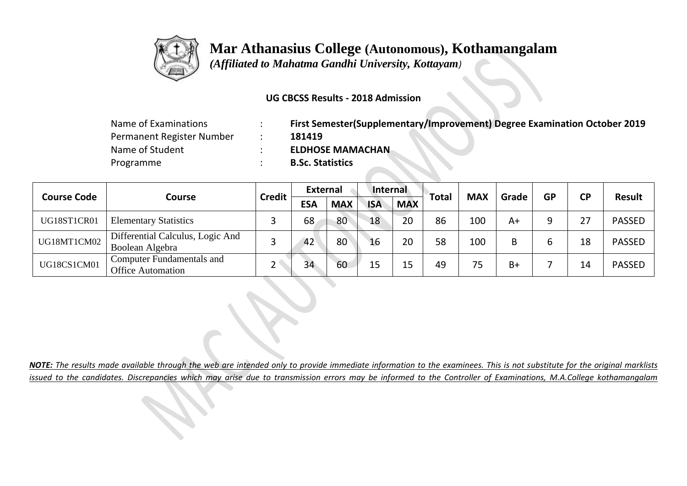

 *(Affiliated to Mahatma Gandhi University, Kottayam)*

## **UG CBCSS Results - 2018 Admission**

| Name of Examinations      | First Semester(Supplementary/Improvement) Degree Examination October 2019 |
|---------------------------|---------------------------------------------------------------------------|
| Permanent Register Number | 181419                                                                    |
| Name of Student           | <b>ELDHOSE MAMACHAN</b>                                                   |
| Programme                 | <b>B.Sc. Statistics</b>                                                   |

|                    |                                                              |               | <b>External</b> |            | Internal   |            |              | <b>MAX</b> | Grade |           |           | <b>Result</b> |
|--------------------|--------------------------------------------------------------|---------------|-----------------|------------|------------|------------|--------------|------------|-------|-----------|-----------|---------------|
| <b>Course Code</b> | Course                                                       | <b>Credit</b> | <b>ESA</b>      | <b>MAX</b> | <b>ISA</b> | <b>MAX</b> | <b>Total</b> |            |       | <b>GP</b> | <b>CP</b> |               |
| UG18ST1CR01        | <b>Elementary Statistics</b>                                 |               | 68              | 80         | 18         | 20         | 86           | 100        | A+    |           | 27        | <b>PASSED</b> |
| UG18MT1CM02        | Differential Calculus, Logic And<br>Boolean Algebra          |               | 42              | 80         | 16         | 20         | 58           | 100        | B     |           | 18        | <b>PASSED</b> |
| UG18CS1CM01        | <b>Computer Fundamentals and</b><br><b>Office Automation</b> |               | 34              | 60         |            |            | 49           | 75         | $B+$  |           | 14        | <b>PASSED</b> |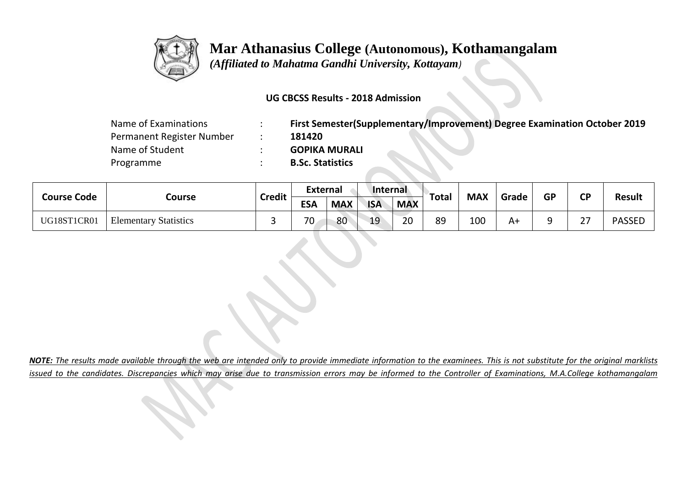

 *(Affiliated to Mahatma Gandhi University, Kottayam)*

### **UG CBCSS Results - 2018 Admission**

| Name of Examinations      | First Semester(Supplementary/Improvement) Degree Examination October 2019 |
|---------------------------|---------------------------------------------------------------------------|
| Permanent Register Number | 181420                                                                    |
| Name of Student           | <b>GOPIKA MURALI</b>                                                      |
| Programme                 | <b>B.Sc. Statistics</b>                                                   |

| <b>Course Code</b> | Course                       | <b>Credit</b> | <b>External</b> |            | Internal   |            | Total | <b>MAX</b> |       | <b>GP</b> | <b>CP</b>            |               |
|--------------------|------------------------------|---------------|-----------------|------------|------------|------------|-------|------------|-------|-----------|----------------------|---------------|
|                    |                              |               | <b>ESA</b>      | <b>MAX</b> | <b>ISA</b> | <b>MAX</b> |       |            | Grade |           |                      | <b>Result</b> |
| UG18ST1CR01        | <b>Elementary Statistics</b> |               | 70              | 80         | 19         | 20         | 89    | 100        | A+    | a         | $\mathcal{L}$<br>، ے | <b>PASSED</b> |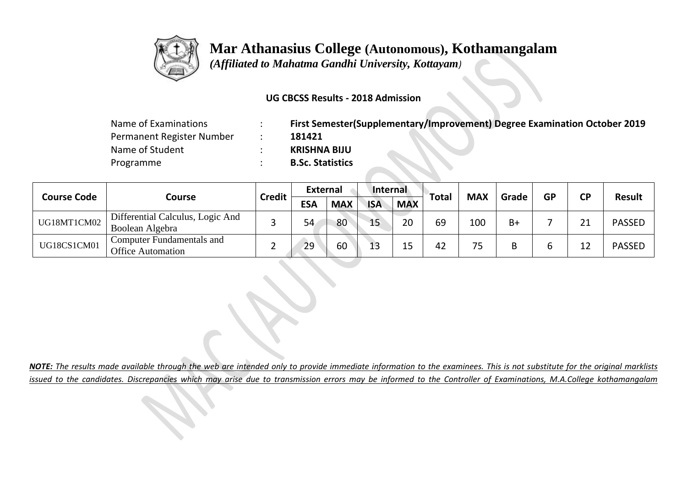

 *(Affiliated to Mahatma Gandhi University, Kottayam)*

### **UG CBCSS Results - 2018 Admission**

| Name of Examinations      | First Semester(Supplementary/Improvement) Degree Examination October 2019 |
|---------------------------|---------------------------------------------------------------------------|
| Permanent Register Number | 181421                                                                    |
| Name of Student           | <b>KRISHNA BIJU</b>                                                       |
| Programme                 | <b>B.Sc. Statistics</b>                                                   |

| <b>Course Code</b> |                                                              | <b>Credit</b> | <b>External</b> |            | Internal   |            | <b>Total</b> | <b>MAX</b> |       | <b>GP</b> | <b>CP</b> | <b>Result</b> |
|--------------------|--------------------------------------------------------------|---------------|-----------------|------------|------------|------------|--------------|------------|-------|-----------|-----------|---------------|
|                    | Course                                                       |               | ESA             | <b>MAX</b> | <b>ISA</b> | <b>MAX</b> |              |            | Grade |           |           |               |
| UG18MT1CM02        | Differential Calculus, Logic And<br>Boolean Algebra          |               | 54              | 80         | 15         | 20         | 69           | 100        | B+    |           | 21        | <b>PASSED</b> |
| UG18CS1CM01        | <b>Computer Fundamentals and</b><br><b>Office Automation</b> |               | 29              | 60         | ∸~         |            | 42           | 75         |       |           | 12        | <b>PASSED</b> |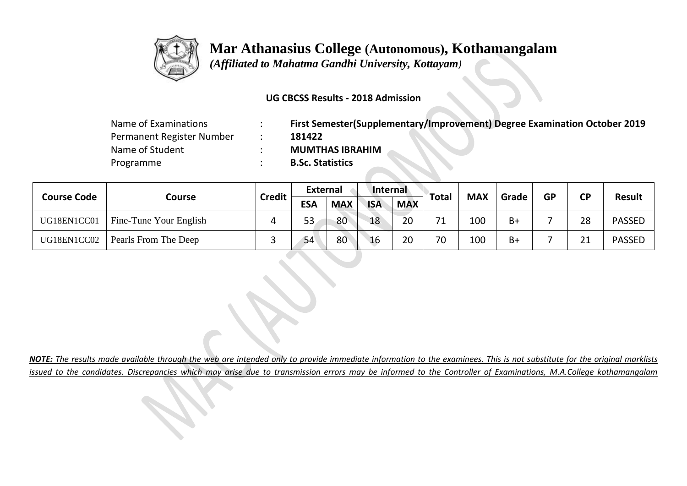

 *(Affiliated to Mahatma Gandhi University, Kottayam)*

## **UG CBCSS Results - 2018 Admission**

| Name of Examinations      | First Semester(Supplementary/Improvement) Degree Examination October 2019 |
|---------------------------|---------------------------------------------------------------------------|
| Permanent Register Number | 181422                                                                    |
| Name of Student           | <b>MUMTHAS IBRAHIM</b>                                                    |
| Programme                 | <b>B.Sc. Statistics</b>                                                   |

| <b>Course Code</b> | Course                 |               | External   |            | Internal   |            |       | <b>MAX</b> | Grade | <b>GP</b> | <b>CP</b> | <b>Result</b> |
|--------------------|------------------------|---------------|------------|------------|------------|------------|-------|------------|-------|-----------|-----------|---------------|
|                    |                        | <b>Credit</b> | <b>ESA</b> | <b>MAX</b> | <b>ISA</b> | <b>MAX</b> | Total |            |       |           |           |               |
| UG18EN1CC01        | Fine-Tune Your English |               | 53         | 80         | 18         | 20         | 71    | 100        | B+    |           | 28        | <b>PASSED</b> |
| UG18EN1CC02        | Pearls From The Deep   |               | 54         | 80         | 16         | 20         | 70    | 100        | $B+$  |           | 21        | <b>PASSED</b> |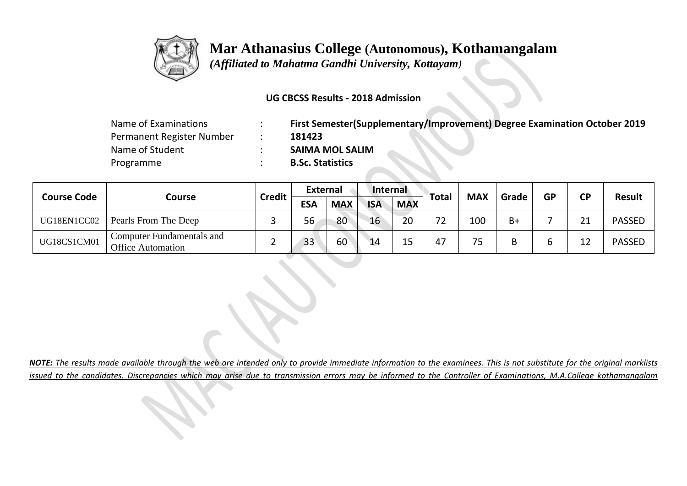

 *(Affiliated to Mahatma Gandhi University, Kottayam)*

## **UG CBCSS Results - 2018 Admission**

| Name of Examinations      | First Semester(Supplementary/Improvement) Degree Examination October 2019 |
|---------------------------|---------------------------------------------------------------------------|
| Permanent Register Number | 181423                                                                    |
| Name of Student           | <b>SAIMA MOL SALIM</b>                                                    |
| Programme                 | <b>B.Sc. Statistics</b>                                                   |

|                    |                                                              |               | <b>External</b> |            | Internal   |            | Total |            |       | <b>GP</b> | <b>CP</b> | <b>Result</b> |
|--------------------|--------------------------------------------------------------|---------------|-----------------|------------|------------|------------|-------|------------|-------|-----------|-----------|---------------|
| <b>Course Code</b> | Course                                                       | <b>Credit</b> | <b>ESA</b>      | <b>MAX</b> | <b>ISA</b> | <b>MAX</b> |       | <b>MAX</b> | Grade |           |           |               |
| UG18EN1CC02        | Pearls From The Deep                                         |               | 56              | 80         | 16         | 20         | ▴     | 100        | B+    |           | 21        | <b>PASSED</b> |
| UG18CS1CM01        | <b>Computer Fundamentals and</b><br><b>Office Automation</b> |               | 33              | 60         | 14         |            | 47    | 75         |       | ь         | 12        | <b>PASSED</b> |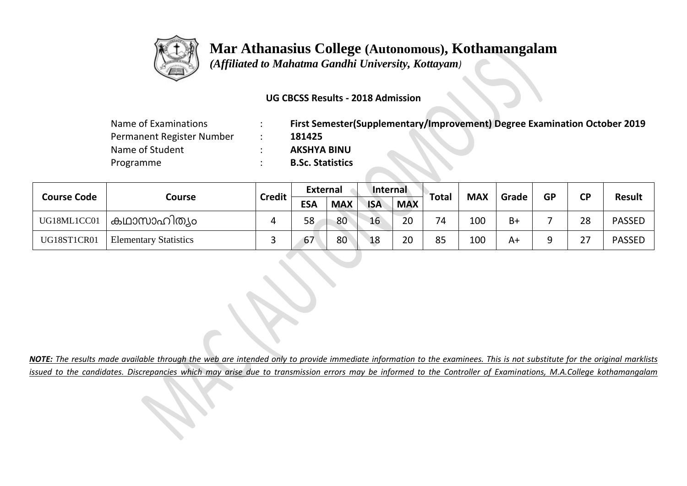

 *(Affiliated to Mahatma Gandhi University, Kottayam)*

## **UG CBCSS Results - 2018 Admission**

| Name of Examinations      | First Semester(Supplementary/Improvement) Degree Examination October 2019 |
|---------------------------|---------------------------------------------------------------------------|
| Permanent Register Number | 181425                                                                    |
| Name of Student           | <b>AKSHYA BINU</b>                                                        |
| Programme                 | <b>B.Sc. Statistics</b>                                                   |

| <b>Course Code</b> | Course                       |               | <b>External</b> |            | Internal   |            | Total | <b>MAX</b> | Grade | <b>GP</b> | <b>CP</b> | <b>Result</b> |
|--------------------|------------------------------|---------------|-----------------|------------|------------|------------|-------|------------|-------|-----------|-----------|---------------|
|                    |                              | <b>Credit</b> | <b>ESA</b>      | <b>MAX</b> | <b>ISA</b> | <b>MAX</b> |       |            |       |           |           |               |
| UG18ML1CC01        | ' കഥാസാഹിത്യം                |               | 58              | 80         | 16         | 20         | 74    | 100        | B+    |           | 28        | <b>PASSED</b> |
| UG18ST1CR01        | <b>Elementary Statistics</b> |               | 67              | 80         | 18         | 20         | 85    | 100        | A+    | a         | 27        | <b>PASSED</b> |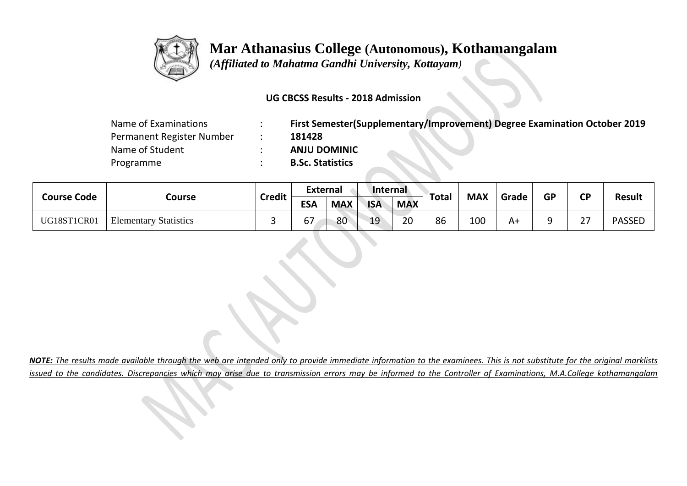

 *(Affiliated to Mahatma Gandhi University, Kottayam)*

## **UG CBCSS Results - 2018 Admission**

| Name of Examinations      | First Semester(Supplementary/Improvement) Degree Examination October 2019 |
|---------------------------|---------------------------------------------------------------------------|
| Permanent Register Number | 181428                                                                    |
| Name of Student           | <b>ANJU DOMINIC</b>                                                       |
| Programme                 | <b>B.Sc. Statistics</b>                                                   |

|                    |                              | <b>Credit</b> | <b>External</b> |            | Internal   |            | <b>MAX</b><br>Total |     | <b>GP</b> | <b>CD</b> |                |               |
|--------------------|------------------------------|---------------|-----------------|------------|------------|------------|---------------------|-----|-----------|-----------|----------------|---------------|
| <b>Course Code</b> | Course                       |               | <b>ESA</b>      | <b>MAX</b> | <b>ISA</b> | <b>MAX</b> |                     |     | Grade     |           |                | <b>Result</b> |
| UG18ST1CR01        | <b>Elementary Statistics</b> |               | / ס             | 80         | 19         | 20         | 86                  | 100 | A+        | a<br>۔۔   | $\lnot$<br>، ے | <b>PASSED</b> |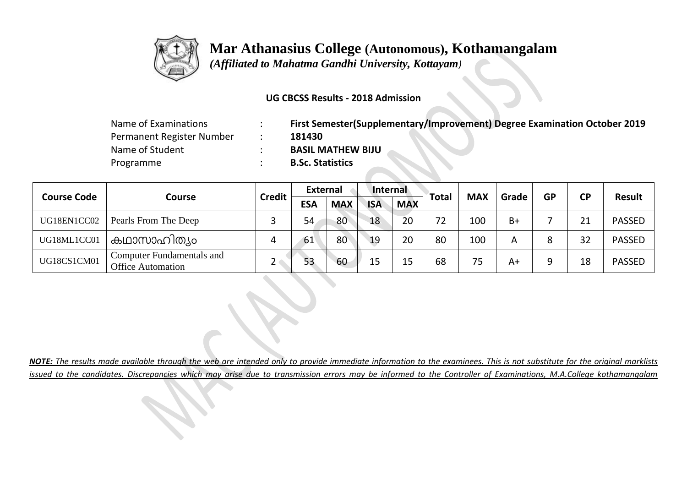

 *(Affiliated to Mahatma Gandhi University, Kottayam)*

### **UG CBCSS Results - 2018 Admission**

| Name of Examinations      | First Semester(Supplementary/Improvement) Degree Examination October 2019 |
|---------------------------|---------------------------------------------------------------------------|
| Permanent Register Number | 181430                                                                    |
| Name of Student           | <b>BASIL MATHEW BIJU</b>                                                  |
| Programme                 | <b>B.Sc. Statistics</b>                                                   |

| <b>Course Code</b> | Course                                                       |               | <b>External</b> |            | Internal   |            | <b>Total</b> | <b>MAX</b> |       |           |           | <b>Result</b> |
|--------------------|--------------------------------------------------------------|---------------|-----------------|------------|------------|------------|--------------|------------|-------|-----------|-----------|---------------|
|                    |                                                              | <b>Credit</b> | <b>ESA</b>      | <b>MAX</b> | <b>ISA</b> | <b>MAX</b> |              |            | Grade | <b>GP</b> | <b>CP</b> |               |
| UG18EN1CC02        | Pearls From The Deep                                         |               | 54              | 80         | 18         | 20         | 72           | 100        | $B+$  |           | 21        | <b>PASSED</b> |
| UG18ML1CC01        | കഥാസാഹിത്യം                                                  |               | 61              | 80         | 19         | 20         | 80           | 100        | А     |           | 32        | <b>PASSED</b> |
| UG18CS1CM01        | <b>Computer Fundamentals and</b><br><b>Office Automation</b> |               | 53              | 60         |            | 15.        | 68           | 75         | A+    |           | 18        | <b>PASSED</b> |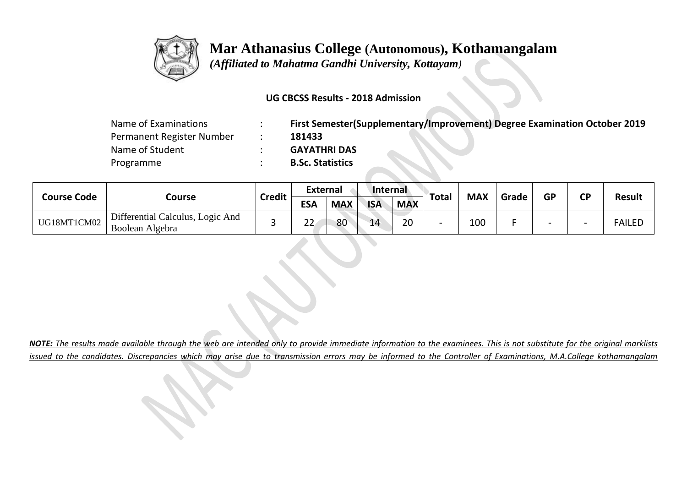

 *(Affiliated to Mahatma Gandhi University, Kottayam)*

## **UG CBCSS Results - 2018 Admission**

| Name of Examinations      | First Semester(Supplementary/Improvement) Degree Examination October 2019 |
|---------------------------|---------------------------------------------------------------------------|
| Permanent Register Number | 181433                                                                    |
| Name of Student           | <b>GAYATHRI DAS</b>                                                       |
| Programme                 | <b>B.Sc. Statistics</b>                                                   |

| <b>Course Code</b> |                                                     |               | <b>External</b> |            | Internal   |            | Total | <b>MAX</b> |       | <b>GP</b>                | <b>CP</b>                |               |
|--------------------|-----------------------------------------------------|---------------|-----------------|------------|------------|------------|-------|------------|-------|--------------------------|--------------------------|---------------|
|                    | Course                                              | <b>Credit</b> | <b>ESA</b>      | <b>MAX</b> | <b>ISA</b> | <b>MAX</b> |       |            | Grade |                          |                          | <b>Result</b> |
| UG18MT1CM02        | Differential Calculus, Logic And<br>Boolean Algebra |               | ~~<br>∠∠        | 80         | 14         | 20         |       | 100        |       | $\overline{\phantom{0}}$ | $\overline{\phantom{0}}$ | <b>FAILED</b> |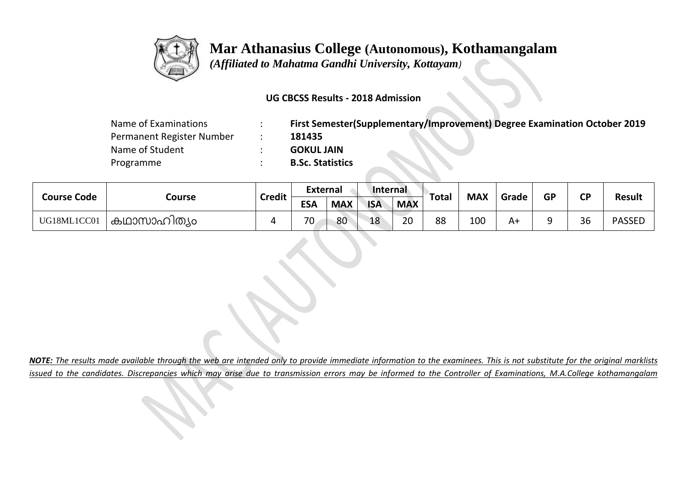

 *(Affiliated to Mahatma Gandhi University, Kottayam)*

## **UG CBCSS Results - 2018 Admission**

| Name of Examinations      | First Semester(Supplementary/Improvement) Degree Examination October 2019 |
|---------------------------|---------------------------------------------------------------------------|
| Permanent Register Number | 181435                                                                    |
| Name of Student           | <b>GOKUL JAIN</b>                                                         |
| Programme                 | <b>B.Sc. Statistics</b>                                                   |

|             |             | <b>Credit</b> | <b>External</b> |            | Internal   |            | Total | <b>MAX</b> | Grade | <b>GP</b> | <b>CP</b> |               |
|-------------|-------------|---------------|-----------------|------------|------------|------------|-------|------------|-------|-----------|-----------|---------------|
| Course Code | Course      |               | <b>ESA</b>      | <b>MAX</b> | <b>ISA</b> | <b>MAX</b> |       |            |       |           |           | <b>Result</b> |
| UG18ML1CC01 | കഥാസാഹിത്യം |               | 70              | 80         | 18         | 20         | 88    | 100        | A+    | a         | 36        | <b>PASSED</b> |